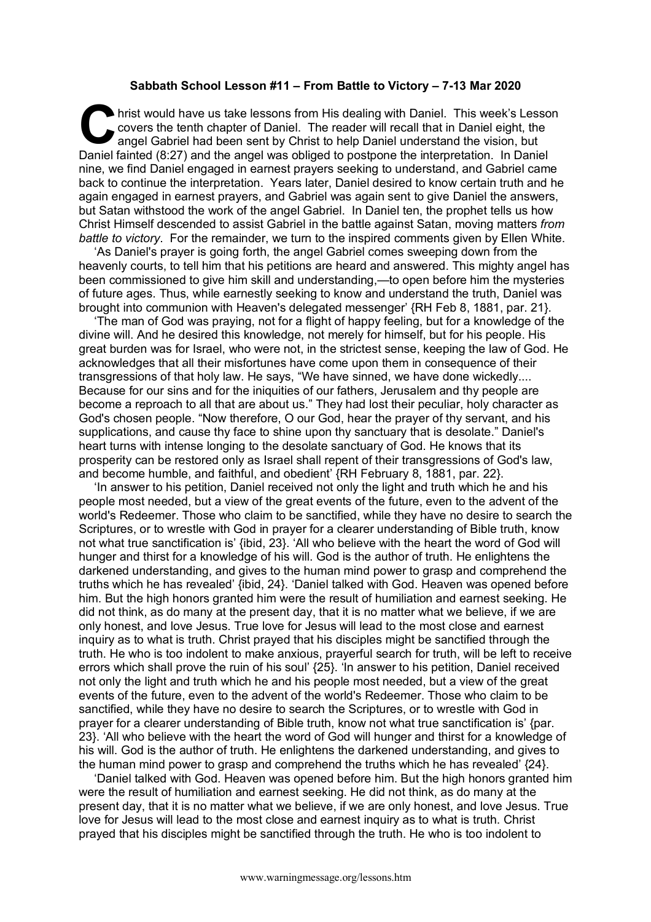## **Sabbath School Lesson #11 – From Battle to Victory – 7-13 Mar 2020**

hrist would have us take lessons from His dealing with Daniel. This week's Lesson covers the tenth chapter of Daniel. The reader will recall that in Daniel eight, the angel Gabriel had been sent by Christ to help Daniel un covers the tenth chapter of Daniel. The reader will recall that in Daniel eight, the angel Gabriel had been sent by Christ to help Daniel understand the vision, but Daniel fainted (8:27) and the angel was obliged to postpone the interpretation. In Daniel nine, we find Daniel engaged in earnest prayers seeking to understand, and Gabriel came back to continue the interpretation. Years later, Daniel desired to know certain truth and he again engaged in earnest prayers, and Gabriel was again sent to give Daniel the answers, but Satan withstood the work of the angel Gabriel. In Daniel ten, the prophet tells us how Christ Himself descended to assist Gabriel in the battle against Satan, moving matters *from battle to victory*. For the remainder, we turn to the inspired comments given by Ellen White.

'As Daniel's prayer is going forth, the angel Gabriel comes sweeping down from the heavenly courts, to tell him that his petitions are heard and answered. This mighty angel has been commissioned to give him skill and understanding,—to open before him the mysteries of future ages. Thus, while earnestly seeking to know and understand the truth, Daniel was brought into communion with Heaven's delegated messenger' {RH Feb 8, 1881, par. 21}.

'The man of God was praying, not for a flight of happy feeling, but for a knowledge of the divine will. And he desired this knowledge, not merely for himself, but for his people. His great burden was for Israel, who were not, in the strictest sense, keeping the law of God. He acknowledges that all their misfortunes have come upon them in consequence of their transgressions of that holy law. He says, "We have sinned, we have done wickedly.... Because for our sins and for the iniquities of our fathers, Jerusalem and thy people are become a reproach to all that are about us." They had lost their peculiar, holy character as God's chosen people. "Now therefore, O our God, hear the prayer of thy servant, and his supplications, and cause thy face to shine upon thy sanctuary that is desolate." Daniel's heart turns with intense longing to the desolate sanctuary of God. He knows that its prosperity can be restored only as Israel shall repent of their transgressions of God's law, and become humble, and faithful, and obedient' {RH February 8, 1881, par. 22}.

'In answer to his petition, Daniel received not only the light and truth which he and his people most needed, but a view of the great events of the future, even to the advent of the world's Redeemer. Those who claim to be sanctified, while they have no desire to search the Scriptures, or to wrestle with God in prayer for a clearer understanding of Bible truth, know not what true sanctification is' {ibid, 23}. 'All who believe with the heart the word of God will hunger and thirst for a knowledge of his will. God is the author of truth. He enlightens the darkened understanding, and gives to the human mind power to grasp and comprehend the truths which he has revealed' {ibid, 24}. 'Daniel talked with God. Heaven was opened before him. But the high honors granted him were the result of humiliation and earnest seeking. He did not think, as do many at the present day, that it is no matter what we believe, if we are only honest, and love Jesus. True love for Jesus will lead to the most close and earnest inquiry as to what is truth. Christ prayed that his disciples might be sanctified through the truth. He who is too indolent to make anxious, prayerful search for truth, will be left to receive errors which shall prove the ruin of his soul' {25}. 'In answer to his petition, Daniel received not only the light and truth which he and his people most needed, but a view of the great events of the future, even to the advent of the world's Redeemer. Those who claim to be sanctified, while they have no desire to search the Scriptures, or to wrestle with God in prayer for a clearer understanding of Bible truth, know not what true sanctification is' {par. 23}. 'All who believe with the heart the word of God will hunger and thirst for a knowledge of his will. God is the author of truth. He enlightens the darkened understanding, and gives to the human mind power to grasp and comprehend the truths which he has revealed' {24}.

'Daniel talked with God. Heaven was opened before him. But the high honors granted him were the result of humiliation and earnest seeking. He did not think, as do many at the present day, that it is no matter what we believe, if we are only honest, and love Jesus. True love for Jesus will lead to the most close and earnest inquiry as to what is truth. Christ prayed that his disciples might be sanctified through the truth. He who is too indolent to